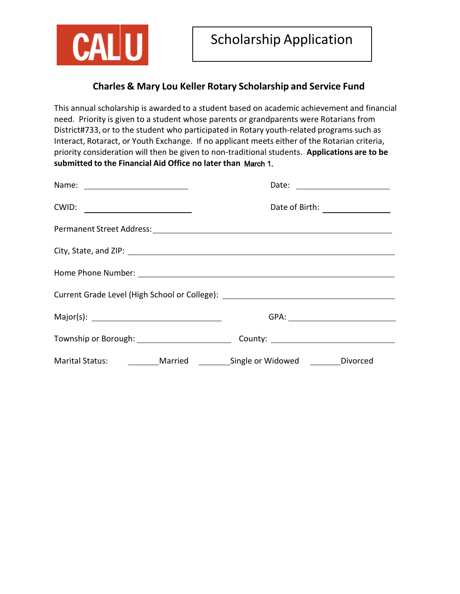

## **Charles & Mary Lou Keller Rotary Scholarship and Service Fund**

**May 1st. submitted to the Financial Aid Office no later than** March 1. This annual scholarship is awarded to a student based on academic achievement and financial need. Priority is given to a student whose parents or grandparents were Rotarians from District#733, or to the student who participated in Rotary youth-related programs such as Interact, Rotaract, or Youth Exchange. If no applicant meets either of the Rotarian criteria, priority consideration will then be given to non‐traditional students. **Applications are to be**

|                                                                                |  | Date: ________________________ |  |
|--------------------------------------------------------------------------------|--|--------------------------------|--|
| CWID: $\qquad \qquad \qquad$                                                   |  |                                |  |
|                                                                                |  |                                |  |
|                                                                                |  |                                |  |
|                                                                                |  |                                |  |
|                                                                                |  |                                |  |
|                                                                                |  |                                |  |
|                                                                                |  |                                |  |
| Marital Status: _________ Married ________ Single or Widowed ________ Divorced |  |                                |  |